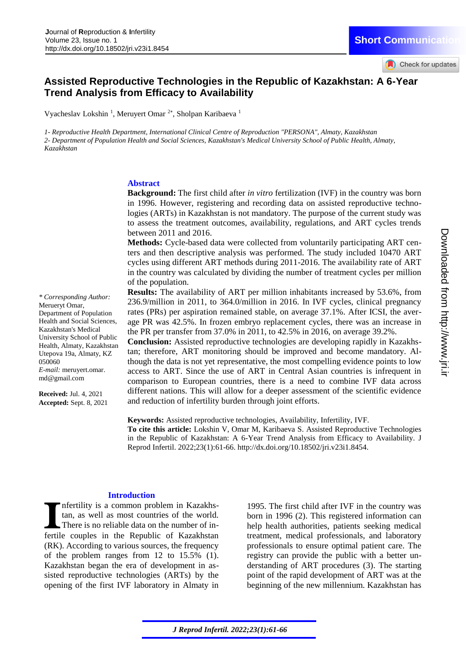## **Assisted Reproductive Technologies in the Republic of Kazakhstan: A 6-Year Trend Analysis from Efficacy to Availability**

Vyacheslav Lokshin<sup>1</sup>, Meruyert Omar<sup>2\*</sup>, Sholpan Karibaeva<sup>1</sup>

*1- Reproductive Health Department, International Clinical Centre of Reproduction "PERSONA", Almaty, Kazakhstan 2- Department of Population Health and Social Sciences, Kazakhstan's Medical University School of Public Health, Almaty, Kazakhstan*

#### **Abstract**

**Background:** The first child after *in vitro* fertilization (IVF) in the country was born in 1996. However, registering and recording data on assisted reproductive technologies (ARTs) in Kazakhstan is not mandatory. The purpose of the current study was to assess the treatment outcomes, availability, regulations, and ART cycles trends between 2011 and 2016.

**Methods:** Cycle-based data were collected from voluntarily participating ART centers and then descriptive analysis was performed. The study included 10470 ART cycles using different ART methods during 2011-2016. The availability rate of ART in the country was calculated by dividing the number of treatment cycles per million of the population.

**Results:** The availability of ART per million inhabitants increased by 53.6%, from 236.9/million in 2011, to 364.0/million in 2016. In IVF cycles, clinical pregnancy rates (PRs) per aspiration remained stable, on average 37.1%. After ICSI, the average PR was 42.5%. In frozen embryo replacement cycles, there was an increase in the PR per transfer from 37.0% in 2011, to 42.5% in 2016, on average 39.2%.

**Conclusion:** Assisted reproductive technologies are developing rapidly in Kazakhstan; therefore, ART monitoring should be improved and become mandatory. Although the data is not yet representative, the most compelling evidence points to low access to ART. Since the use of ART in Central Asian countries is infrequent in comparison to European countries, there is a need to combine IVF data across different nations. This will allow for a deeper assessment of the scientific evidence and reduction of infertility burden through joint efforts.

**Keywords:** Assisted reproductive technologies, Availability, Infertility, IVF. **To cite this article:** Lokshin V, Omar M, Karibaeva S. Assisted Reproductive Technologies in the Republic of Kazakhstan: A 6-Year Trend Analysis from Efficacy to Availability. J Reprod Infertil. 2022;23(1):61-66. http://dx.doi.org/10.18502/jri.v23i1.8454.

#### **Introduction**

nfertility is a common problem in Kazakhstan, as well as most countries of the world. There is no reliable data on the number of infertile couples in the Republic of Kazakhstan (RK). According to various sources, the frequency of the problem ranges from 12 to 15.5% (1). Kazakhstan began the era of development in assisted reproductive technologies (ARTs) by the opening of the first IVF laboratory in Almaty in

1995. The first child after IVF in the country was born in 1996 (2). This registered information can help health authorities, patients seeking medical treatment, medical professionals, and laboratory professionals to ensure optimal patient care. The registry can provide the public with a better understanding of ART procedures (3). The starting point of the rapid development of ART was at the beginning of the new millennium. Kazakhstan has

Health and Social Sciences,

*\* Corresponding Author:*  Merueryt Omar,

Department of Population

Kazakhstan's Medical University School of Public Health, Almaty, Kazakhstan Utepova 19a, Almaty, KZ

*E-mail:* meruyert.omar. md@gmail.com

**Received:** Jul. 4, 2021 **Accepted:** Sept. 8, 2021

050060

Check for updates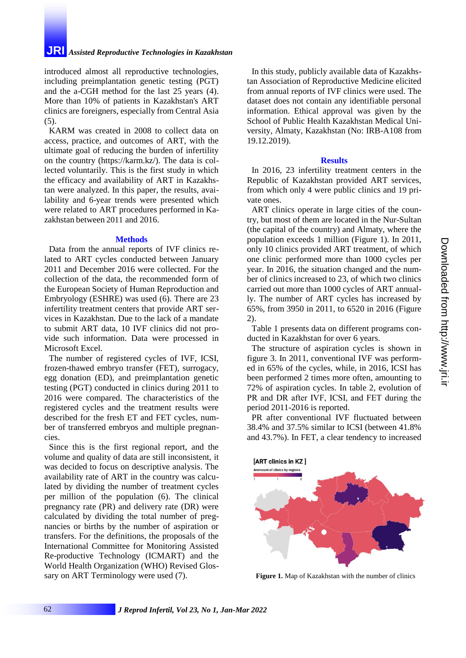## **JRI** *Assisted Reproductive Technologies in Kazakhstan*

introduced almost all reproductive technologies, including preimplantation genetic testing (PGT) and the a-CGH method for the last 25 years (4). More than 10% of patients in Kazakhstan's ART clinics are foreigners, especially from Central Asia (5).

KARM was created in 2008 to collect data on access, practice, and outcomes of ART, with the ultimate goal of reducing the burden of infertility on the country (https://karm.kz/). The data is collected voluntarily. This is the first study in which the efficacy and availability of ART in Kazakhstan were analyzed. In this paper, the results, availability and 6-year trends were presented which were related to ART procedures performed in Kazakhstan between 2011 and 2016.

#### **Methods**

Data from the annual reports of IVF clinics related to ART cycles conducted between January 2011 and December 2016 were collected. For the collection of the data, the recommended form of the European Society of Human Reproduction and Embryology (ESHRE) was used (6). There are 23 infertility treatment centers that provide ART services in Kazakhstan. Due to the lack of a mandate to submit ART data, 10 IVF clinics did not provide such information. Data were processed in Microsoft Excel.

The number of registered cycles of IVF, ICSI, frozen-thawed embryo transfer (FET), surrogacy, egg donation (ED), and preimplantation genetic testing (PGT) conducted in clinics during 2011 to 2016 were compared. The characteristics of the registered cycles and the treatment results were described for the fresh ET and FET cycles, number of transferred embryos and multiple pregnancies.

Since this is the first regional report, and the volume and quality of data are still inconsistent, it was decided to focus on descriptive analysis. The availability rate of ART in the country was calculated by dividing the number of treatment cycles per million of the population (6). The clinical pregnancy rate (PR) and delivery rate (DR) were calculated by dividing the total number of pregnancies or births by the number of aspiration or transfers. For the definitions, the proposals of the International Committee for Monitoring Assisted Re-productive Technology (ICMART) and the World Health Organization (WHO) Revised Glossary on ART Terminology were used (7).

In this study, publicly available data of Kazakhstan Association of Reproductive Medicine elicited from annual reports of IVF clinics were used. The dataset does not contain any identifiable personal information. Ethical approval was given by the School of Public Health Kazakhstan Medical University, Almaty, Kazakhstan (No: IRB-A108 from 19.12.2019).

#### **Results**

In 2016, 23 infertility treatment centers in the Republic of Kazakhstan provided ART services, from which only 4 were public clinics and 19 private ones.

ART clinics operate in large cities of the country, but most of them are located in the Nur-Sultan (the capital of the country) and Almaty, where the population exceeds 1 million (Figure 1). In 2011, only 10 clinics provided ART treatment, of which one clinic performed more than 1000 cycles per year. In 2016, the situation changed and the number of clinics increased to 23, of which two clinics carried out more than 1000 cycles of ART annually. The number of ART cycles has increased by 65%, from 3950 in 2011, to 6520 in 2016 (Figure 2).

Table 1 presents data on different programs conducted in Kazakhstan for over 6 years.

The structure of aspiration cycles is shown in figure 3. In 2011, conventional IVF was performed in 65% of the cycles, while, in 2016, ICSI has been performed 2 times more often, amounting to 72% of aspiration cycles. In table 2, evolution of PR and DR after IVF, ICSI, and FЕT during the period 2011-2016 is reported.

PR after conventional IVF fluctuated between 38.4% and 37.5% similar to ICSI (between 41.8% and 43.7%). In FET, a clear tendency to increased



**Figure 1.** Map of Kazakhstan with the number of clinics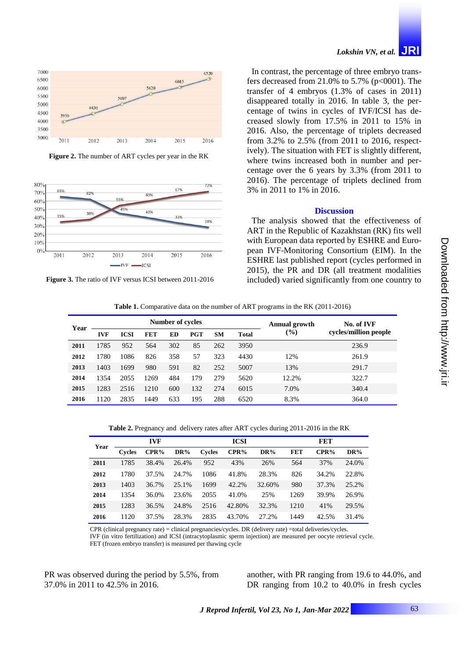

**Figure 2.** The number of ART cycles per year in the RK



**Figure 3.** The ratio of IVF versus ICSI between 2011-2016

# *Lokshin VN, et al.* **JRI**

In contrast, the percentage of three embryo transfers decreased from 21.0% to 5.7% ( $p<0001$ ). The transfer of 4 embryos (1.3% of cases in 2011) disappeared totally in 2016. In table 3, the percentage of twins in cycles of IVF/ICSI has decreased slowly from 17.5% in 2011 to 15% in 2016. Also, the percentage of triplets decreased from 3.2% to 2.5% (from 2011 to 2016, respectively). The situation with FET is slightly different, where twins increased both in number and percentage over the 6 years by 3.3% (from 2011 to 2016). The percentage of triplets declined from 3% in 2011 to 1% in 2016.

#### **Discussion**

The analysis showed that the effectiveness of ART in the Republic of Kazakhstan (RK) fits well with European data reported by ESHRE and European IVF-Monitoring Consortium (EIM). In the ESHRE last published report (cycles performed in 2015), the PR and DR (all treatment modalities included) varied significantly from one country to

**Table 1.** Comparative data on the number of ART programs in the RK (2011-2016)

| Year | Number of cycles |             |            |     |            |           |              | Annual growth                | No. of IVF            |  |
|------|------------------|-------------|------------|-----|------------|-----------|--------------|------------------------------|-----------------------|--|
|      | <b>IVF</b>       | <b>ICSI</b> | <b>FET</b> | ED  | <b>PGT</b> | <b>SM</b> | <b>Total</b> | $\left( \frac{0}{0} \right)$ | cycles/million people |  |
| 2011 | 1785             | 952         | 564        | 302 | 85         | 262       | 3950         |                              | 236.9                 |  |
| 2012 | 1780             | 1086        | 826        | 358 | 57         | 323       | 4430         | 12%                          | 261.9                 |  |
| 2013 | 1403             | 1699        | 980        | 591 | 82         | 252       | 5007         | 13%                          | 291.7                 |  |
| 2014 | 1354             | 2055        | 1269       | 484 | 179        | 279       | 5620         | 12.2%                        | 322.7                 |  |
| 2015 | 1283             | 2516        | 1210       | 600 | 132        | 274       | 6015         | 7.0%                         | 340.4                 |  |
| 2016 | 1120             | 2835        | 1449       | 633 | 195        | 288       | 6520         | 8.3%                         | 364.0                 |  |

Downloaded from http://www.jri.i Downloaded from http://www.jri.ir

**Table 2.** Pregnancy and delivery rates after ART cycles during 2011-2016 in the RK

| Year |               | <b>IVF</b> |        |               | <b>ICSI</b> |        | <b>FET</b> |       |        |  |
|------|---------------|------------|--------|---------------|-------------|--------|------------|-------|--------|--|
|      | <b>Cycles</b> | CPR%       | $DR\%$ | <b>Cycles</b> | $CPR\%$     | $DR\%$ | <b>FET</b> | CPR%  | $DR\%$ |  |
| 2011 | 1785          | 38.4%      | 26.4%  | 952           | 43%         | 26%    | 564        | 37%   | 24.0%  |  |
| 2012 | 1780          | 37.5%      | 24.7%  | 1086          | 41.8%       | 28.3%  | 826        | 34.2% | 22.8%  |  |
| 2013 | 1403          | 36.7%      | 25.1%  | 1699          | 42.2%       | 32.60% | 980        | 37.3% | 25.2%  |  |
| 2014 | 1354          | 36.0%      | 23.6%  | 2055          | 41.0%       | 25%    | 1269       | 39.9% | 26.9%  |  |
| 2015 | 1283          | 36.5%      | 24.8%  | 2516          | 42.80%      | 32.3%  | 1210       | 41%   | 29.5%  |  |
| 2016 | 1120          | 37.5%      | 28.3%  | 2835          | 43.70%      | 27.2%  | 1449       | 42.5% | 31.4%  |  |

CPR (clinical pregnancy rate) = clinical pregnancies/cycles. DR (delivery rate) =total deliveries/cycles.

IVF (in vitro fertilization) and ICSI (intracytoplasmic sperm injection) are measured per oocyte retrieval cycle. FET (frozen embryo transfer) is measured per thawing cycle

PR was observed during the period by 5.5%, from 37.0% in 2011 to 42.5% in 2016.

another, with PR ranging from 19.6 to 44.0%, and DR ranging from 10.2 to 40.0% in fresh cycles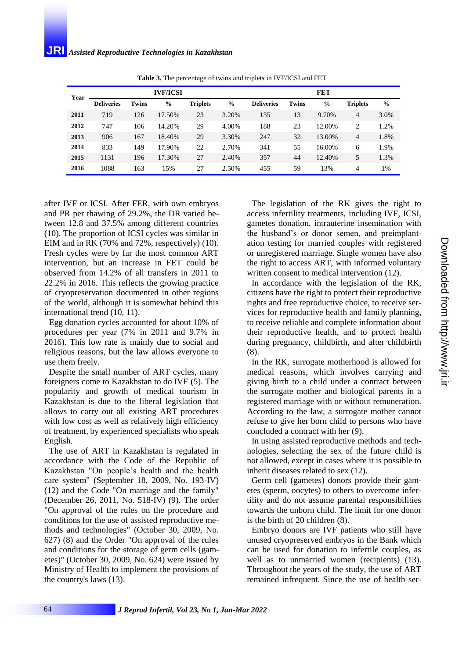## **JRI** *Assisted Reproductive Technologies in Kazakhstan*

| Year |                   | <b>IVF/ICSI</b> |               | <b>FET</b>      |               |                   |              |               |                 |               |
|------|-------------------|-----------------|---------------|-----------------|---------------|-------------------|--------------|---------------|-----------------|---------------|
|      | <b>Deliveries</b> | Twins           | $\frac{0}{0}$ | <b>Triplets</b> | $\frac{6}{6}$ | <b>Deliveries</b> | <b>Twins</b> | $\frac{6}{9}$ | <b>Triplets</b> | $\frac{6}{6}$ |
| 2011 | 719               | 126             | 17.50%        | 23              | 3.20%         | 135               | 13           | 9.70%         | 4               | 3.0%          |
| 2012 | 747               | 106             | 14.20%        | 29              | 4.00%         | 188               | 23           | 12.00%        | $\overline{c}$  | 1.2%          |
| 2013 | 906               | 167             | 18.40%        | 29              | 3.30%         | 247               | 32           | 13.00%        | 4               | 1.8%          |
| 2014 | 833               | 149             | 17.90%        | 22              | 2.70%         | 341               | 55           | 16.00%        | 6               | 1.9%          |
| 2015 | 1131              | 196             | 17.30%        | 27              | 2.40%         | 357               | 44           | 12.40%        | 5               | 1.3%          |
| 2016 | 1088              | 163             | 15%           | 27              | 2.50%         | 455               | 59           | 13%           | 4               | 1%            |

**Table 3.** The percentage of twins and triplet*s* in IVF/ICSI and FET

after IVF or ICSI. After FER, with own embryos and PR per thawing of 29.2%, the DR varied between 12.8 and 37.5% among different countries (10). The proportion of ICSI cycles was similar in EIM and in RK (70% and 72%, respectively) (10). Fresh cycles were by far the most common ART intervention, but an increase in FET could be observed from 14.2% of all transfers in 2011 to 22.2% in 2016. This reflects the growing practice of cryopreservation documented in other regions of the world, although it is somewhat behind this international trend (10, 11).

Egg donation cycles accounted for about 10% of procedures per year (7% in 2011 and 9.7% in 2016). This low rate is mainly due to social and religious reasons, but the law allows everyone to use them freely.

Despite the small number of ART cycles, many foreigners come to Kazakhstan to do IVF (5). The popularity and growth of medical tourism in Kazakhstan is due to the liberal legislation that allows to carry out all existing ART procedures with low cost as well as relatively high efficiency of treatment, by experienced specialists who speak English.

The use of ART in Kazakhstan is regulated in accordance with the Code of the Republic of Kazakhstan "On people's health and the health care system" (September 18, 2009, No. 193-IV) (12) and the Code "On marriage and the family" (December 26, 2011, No. 518-IV) (9). The order "On approval of the rules on the procedure and conditions for the use of assisted reproductive methods and technologies" (October 30, 2009, No. 627) (8) and the Order "On approval of the rules and conditions for the storage of germ cells (gametes)" (October 30, 2009, No. 624) were issued by Ministry of Health to implement the provisions of the country's laws (13).

The legislation of the RK gives the right to access infertility treatments, including IVF, ICSI, gametes donation, intrauterine insemination with the husband's or donor semen, and preimplantation testing for married couples with registered or unregistered marriage. Single women have also the right to access ART, with informed voluntary written consent to medical intervention  $(12)$ .

In accordance with the legislation of the RK, citizens have the right to protect their reproductive rights and free reproductive choice, to receive services for reproductive health and family planning, to receive reliable and complete information about their reproductive health, and to protect health during pregnancy, childbirth, and after childbirth (8).

In the RK, surrogate motherhood is allowed for medical reasons, which involves carrying and giving birth to a child under a contract between the surrogate mother and biological parents in a registered marriage with or without remuneration. According to the law, a surrogate mother cannot refuse to give her born child to persons who have concluded a contract with her (9).

In using assisted reproductive methods and technologies, selecting the sex of the future child is not allowed, except in cases where it is possible to inherit diseases related to sex (12).

Germ cell (gametes) donors provide their gametes (sperm, oocytes) to others to overcome infertility and do not assume parental responsibilities towards the unborn child. The limit for one donor is the birth of 20 children (8).

Embryo donors are IVF patients who still have unused cryopreserved embryos in the Bank which can be used for donation to infertile couples, as well as to unmarried women (recipients) (13). Throughout the years of the study, the use of ART remained infrequent. Since the use of health ser-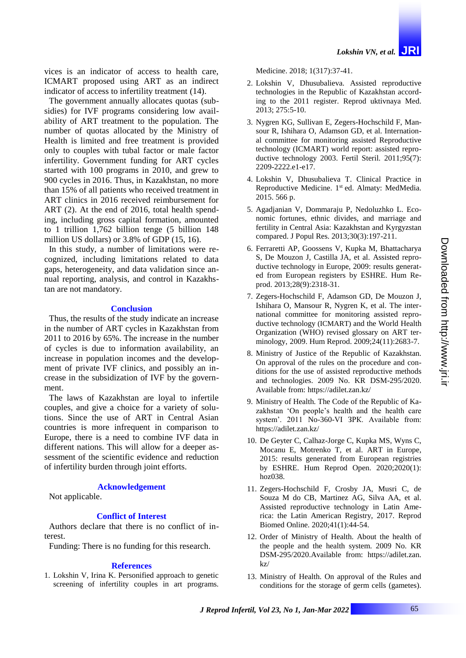vices is an indicator of access to health care, ICMART proposed using ART as an indirect indicator of access to infertility treatment (14).

The government annually allocates quotas (subsidies) for IVF programs considering low availability of ART treatment to the population. The number of quotas allocated by the Ministry of Health is limited and free treatment is provided only to couples with tubal factor or male factor infertility. Government funding for ART cycles started with 100 programs in 2010, and grew to 900 cycles in 2016. Thus, in Kazakhstan, no more than 15% of all patients who received treatment in ART clinics in 2016 received reimbursement for ART (2). At the end of 2016, total health spending, including gross capital formation, amounted to 1 trillion 1,762 billion tenge (5 billion 148 million US dollars) or 3.8% of GDP (15, 16).

In this study, a number of limitations were recognized, including limitations related to data gaps, heterogeneity, and data validation since annual reporting, analysis, and control in Kazakhstan are not mandatory.

#### **Conclusion**

Thus, the results of the study indicate an increase in the number of ART cycles in Kazakhstan from 2011 to 2016 by 65%. The increase in the number of cycles is due to information availability, an increase in population incomes and the development of private IVF clinics, and possibly an increase in the subsidization of IVF by the government.

The laws of Kazakhstan are loyal to infertile couples, and give a choice for a variety of solutions. Since the use of ART in Central Asian countries is more infrequent in comparison to Europe, there is a need to combine IVF data in different nations. This will allow for a deeper assessment of the scientific evidence and reduction of infertility burden through joint efforts.

#### **Acknowledgement**

Not applicable.

#### **Conflict of Interest**

Authors declare that there is no conflict of interest.

Funding: There is no funding for this research.

#### **References**

1. Lokshin V, Irina K. Personified approach to genetic screening of infertility couples in art programs. Medicine. 2018; 1(317):37-41.

- 2. Lokshin V, Dhusubalieva. Assisted reproductive technologies in the Republic of Kazakhstan according to the 2011 register. Reprod uktivnaya Med. 2013; 275:5-10.
- 3. Nygren KG, Sullivan E, Zegers-Hochschild F, Mansour R, Ishihara O, Adamson GD, et al. International committee for monitoring assisted Reproductive technology (ICMART) world report: assisted reproductive technology 2003. Fertil Steril. 2011;95(7): 2209-2222.e1-e17.
- 4. Lokshin V, Dhusubalieva T. Clinical Practice in Reproductive Medicine. 1<sup>st</sup> ed. Almaty: MedMedia. 2015. 566 p.
- 5. Agadjanian V, Dommaraju P, Nedoluzhko L. Economic fortunes, ethnic divides, and marriage and fertility in Central Asia: Kazakhstan and Kyrgyzstan compared. J Popul Res. 2013;30(3):197-211.
- 6. Ferraretti AP, Goossens V, Kupka M, Bhattacharya S, De Mouzon J, Castilla JA, et al. Assisted reproductive technology in Europe, 2009: results generated from European registers by ESHRE. Hum Reprod. 2013;28(9):2318-31.
- 7. Zegers-Hochschild F, Adamson GD, De Mouzon J, Ishihara O, Mansour R, Nygren K, et al. The international committee for monitoring assisted reproductive technology (ICMART) and the World Health Organization (WHO) revised glossary on ART terminology, 2009. Hum Reprod. 2009;24(11):2683-7.
- 8. Ministry of Justice of the Republic of Kazakhstan. On approval of the rules on the procedure and conditions for the use of assisted reproductive methods and technologies. 2009 No. KR DSM-295/2020. Available from:<https://adilet.zan.kz/>
- 9. Ministry of Health. The Code of the Republic of Kazakhstan 'On people's health and the health care system'. 2011 No-360-VI 3PK. Available from: https://adilet.zan.kz/
- 10. De Geyter C, Calhaz-Jorge C, Kupka MS, Wyns C, Mocanu E, Motrenko T, et al. ART in Europe, 2015: results generated from European registries by ESHRE. Hum Reprod Open. 2020;2020(1): hoz038.
- 11. Zegers-Hochschild F, Crosby JA, Musri C, de Souza M do CB, Martinez AG, Silva AA, et al. Assisted reproductive technology in Latin America: the Latin American Registry, 2017. Reprod Biomed Online. 2020;41(1):44-54.
- 12. Order of Ministry of Health. About the health of the people and the health system. 2009 No. KR DSM-295/2020.Available from: https://adilet.zan.  $kz/$
- 13. Ministry of Health. On approval of the Rules and conditions for the storage of germ cells (gametes).

Downloaded from http://www.jri.ir

Downloaded from http://www.jri.ii